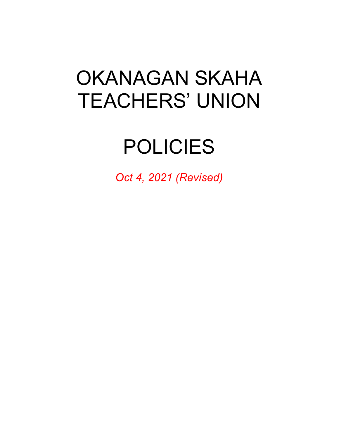# OKANAGAN SKAHA TEACHERS' UNION

# POLICIES

*Oct 4, 2021 (Revised)*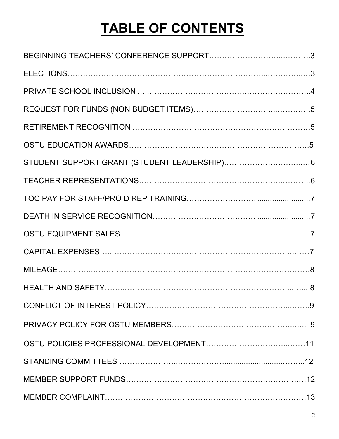## **TABLE OF CONTENTS**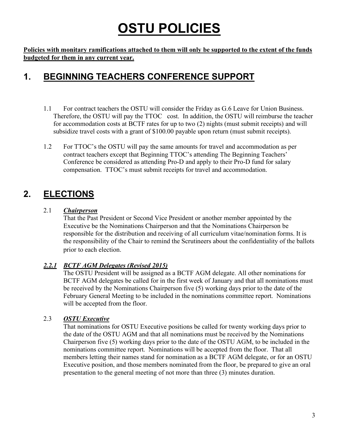## **OSTU POLICIES**

**Policies with monitary ramifications attached to them will only be supported to the extent of the funds budgeted for them in any current year.**

### **1. BEGINNING TEACHERS CONFERENCE SUPPORT**

- 1.1 For contract teachers the OSTU will consider the Friday as G.6 Leave for Union Business. Therefore, the OSTU will pay the TTOC cost. In addition, the OSTU will reimburse the teacher for accommodation costs at BCTF rates for up to two (2) nights (must submit receipts) and will subsidize travel costs with a grant of \$100.00 payable upon return (must submit receipts).
- 1.2 For TTOC's the OSTU will pay the same amounts for travel and accommodation as per contract teachers except that Beginning TTOC's attending The Beginning Teachers' Conference be considered as attending Pro-D and apply to their Pro-D fund for salary compensation. TTOC's must submit receipts for travel and accommodation.

## **2. ELECTIONS**

#### 2.1 *Chairperson*

 That the Past President or Second Vice President or another member appointed by the Executive be the Nominations Chairperson and that the Nominations Chairperson be responsible for the distribution and receiving of all curriculum vitae/nomination forms. It is the responsibility of the Chair to remind the Scrutineers about the confidentiality of the ballots prior to each election.

#### *2.2.1 BCTF AGM Delegates (Revised 2015)*

The OSTU President will be assigned as a BCTF AGM delegate. All other nominations for BCTF AGM delegates be called for in the first week of January and that all nominations must be received by the Nominations Chairperson five (5) working days prior to the date of the February General Meeting to be included in the nominations committee report. Nominations will be accepted from the floor.

#### 2.3 *OSTU Executive*

That nominations for OSTU Executive positions be called for twenty working days prior to the date of the OSTU AGM and that all nominations must be received by the Nominations Chairperson five (5) working days prior to the date of the OSTU AGM, to be included in the nominations committee report. Nominations will be accepted from the floor. That all members letting their names stand for nomination as a BCTF AGM delegate, or for an OSTU Executive position, and those members nominated from the floor, be prepared to give an oral presentation to the general meeting of not more than three (3) minutes duration.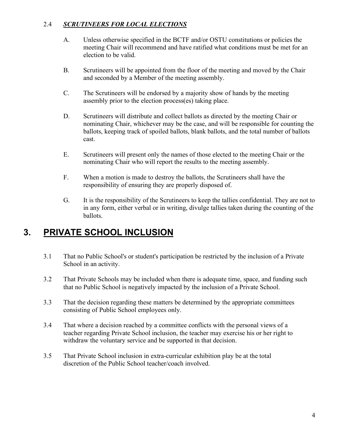#### 2.4 *SCRUTINEERS FOR LOCAL ELECTIONS*

- A. Unless otherwise specified in the BCTF and/or OSTU constitutions or policies the meeting Chair will recommend and have ratified what conditions must be met for an election to be valid.
- B. Scrutineers will be appointed from the floor of the meeting and moved by the Chair and seconded by a Member of the meeting assembly.
- C. The Scrutineers will be endorsed by a majority show of hands by the meeting assembly prior to the election process(es) taking place.
- D. Scrutineers will distribute and collect ballots as directed by the meeting Chair or nominating Chair, whichever may be the case, and will be responsible for counting the ballots, keeping track of spoiled ballots, blank ballots, and the total number of ballots cast.
- E. Scrutineers will present only the names of those elected to the meeting Chair or the nominating Chair who will report the results to the meeting assembly.
- F. When a motion is made to destroy the ballots, the Scrutineers shall have the responsibility of ensuring they are properly disposed of.
- G. It is the responsibility of the Scrutineers to keep the tallies confidential. They are not to in any form, either verbal or in writing, divulge tallies taken during the counting of the ballots.

### **3. PRIVATE SCHOOL INCLUSION**

- 3.1 That no Public School's or student's participation be restricted by the inclusion of a Private School in an activity.
- 3.2 That Private Schools may be included when there is adequate time, space, and funding such that no Public School is negatively impacted by the inclusion of a Private School.
- 3.3 That the decision regarding these matters be determined by the appropriate committees consisting of Public School employees only.
- 3.4 That where a decision reached by a committee conflicts with the personal views of a teacher regarding Private School inclusion, the teacher may exercise his or her right to withdraw the voluntary service and be supported in that decision.
- 3.5 That Private School inclusion in extra-curricular exhibition play be at the total discretion of the Public School teacher/coach involved.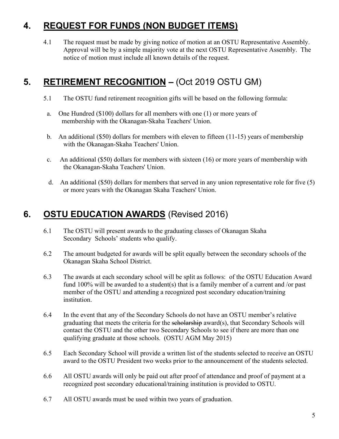### **4. REQUEST FOR FUNDS (NON BUDGET ITEMS)**

4.1 The request must be made by giving notice of motion at an OSTU Representative Assembly. Approval will be by a simple majority vote at the next OSTU Representative Assembly. The notice of motion must include all known details of the request.

## **5. RETIREMENT RECOGNITION – (Oct 2019 OSTU GM)**

- 5.1 The OSTU fund retirement recognition gifts will be based on the following formula:
- a. One Hundred (\$100) dollars for all members with one (1) or more years of membership with the Okanagan-Skaha Teachers' Union.
- b. An additional (\$50) dollars for members with eleven to fifteen (11-15) years of membership with the Okanagan-Skaha Teachers' Union.
- c.An additional (\$50) dollars for members with sixteen (16) or more years of membership with the Okanagan-Skaha Teachers' Union.
- d. An additional (\$50) dollars for members that served in any union representative role for five (5) or more years with the Okanagan Skaha Teachers' Union.

### **6. OSTU EDUCATION AWARDS** (Revised 2016)

- 6.1 The OSTU will present awards to the graduating classes of Okanagan Skaha Secondary Schools' students who qualify.
- 6.2 The amount budgeted for awards will be split equally between the secondary schools of the Okanagan Skaha School District.
- 6.3 The awards at each secondary school will be split as follows: of the OSTU Education Award fund 100% will be awarded to a student(s) that is a family member of a current and /or past member of the OSTU and attending a recognized post secondary education/training institution.
- 6.4 In the event that any of the Secondary Schools do not have an OSTU member's relative graduating that meets the criteria for the scholarship award(s), that Secondary Schools will contact the OSTU and the other two Secondary Schools to see if there are more than one qualifying graduate at those schools. (OSTU AGM May 2015)
- 6.5 Each Secondary School will provide a written list of the students selected to receive an OSTU award to the OSTU President two weeks prior to the announcement of the students selected.
- 6.6 All OSTU awards will only be paid out after proof of attendance and proof of payment at a recognized post secondary educational/training institution is provided to OSTU.
- 6.7 All OSTU awards must be used within two years of graduation.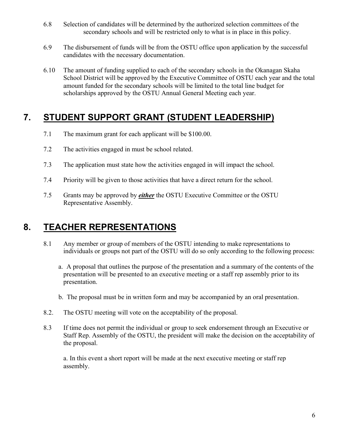- 6.8 Selection of candidates will be determined by the authorized selection committees of the secondary schools and will be restricted only to what is in place in this policy.
- 6.9 The disbursement of funds will be from the OSTU office upon application by the successful candidates with the necessary documentation.
- 6.10 The amount of funding supplied to each of the secondary schools in the Okanagan Skaha School District will be approved by the Executive Committee of OSTU each year and the total amount funded for the secondary schools will be limited to the total line budget for scholarships approved by the OSTU Annual General Meeting each year.

#### **7. STUDENT SUPPORT GRANT (STUDENT LEADERSHIP)**

- 7.1 The maximum grant for each applicant will be \$100.00.
- 7.2 The activities engaged in must be school related.
- 7.3 The application must state how the activities engaged in will impact the school.
- 7.4 Priority will be given to those activities that have a direct return for the school.
- 7.5 Grants may be approved by *either* the OSTU Executive Committee or the OSTU Representative Assembly.

#### **8. TEACHER REPRESENTATIONS**

- 8.1 Any member or group of members of the OSTU intending to make representations to individuals or groups not part of the OSTU will do so only according to the following process:
	- a. A proposal that outlines the purpose of the presentation and a summary of the contents of the presentation will be presented to an executive meeting or a staff rep assembly prior to its presentation.
	- b. The proposal must be in written form and may be accompanied by an oral presentation.
- 8.2. The OSTU meeting will vote on the acceptability of the proposal.
- 8.3 If time does not permit the individual or group to seek endorsement through an Executive or Staff Rep. Assembly of the OSTU, the president will make the decision on the acceptability of the proposal.

 a. In this event a short report will be made at the next executive meeting or staff rep assembly.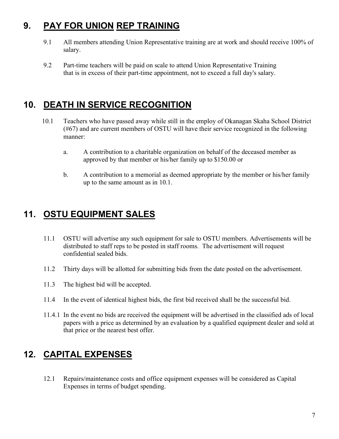## **9. PAY FOR UNION REP TRAINING**

- 9.1All members attending Union Representative training are at work and should receive 100% of salary.
- 9.2 Part-time teachers will be paid on scale to attend Union Representative Training that is in excess of their part-time appointment, not to exceed a full day's salary.

## **10. DEATH IN SERVICE RECOGNITION**

- 10.1 Teachers who have passed away while still in the employ of Okanagan Skaha School District (#67) and are current members of OSTU will have their service recognized in the following manner:
	- a. A contribution to a charitable organization on behalf of the deceased member as approved by that member or his/her family up to \$150.00 or
	- b. A contribution to a memorial as deemed appropriate by the member or his/her family up to the same amount as in 10.1.

## **11. OSTU EQUIPMENT SALES**

- 11.1 OSTU will advertise any such equipment for sale to OSTU members. Advertisements will be distributed to staff reps to be posted in staff rooms. The advertisement will request confidential sealed bids.
- 11.2 Thirty days will be allotted for submitting bids from the date posted on the advertisement.
- 11.3 The highest bid will be accepted.
- 11.4 In the event of identical highest bids, the first bid received shall be the successful bid.
- 11.4.1 In the event no bids are received the equipment will be advertised in the classified ads of local papers with a price as determined by an evaluation by a qualified equipment dealer and sold at that price or the nearest best offer.

## **12. CAPITAL EXPENSES**

12.1 Repairs/maintenance costs and office equipment expenses will be considered as Capital Expenses in terms of budget spending.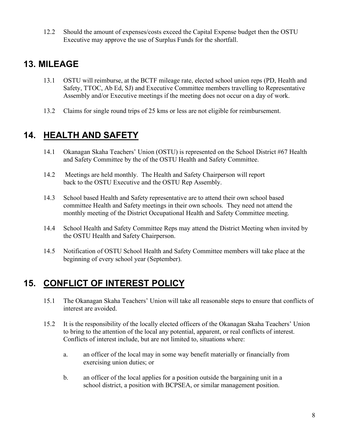12.2 Should the amount of expenses/costs exceed the Capital Expense budget then the OSTU Executive may approve the use of Surplus Funds for the shortfall.

### **13. MILEAGE**

- 13.1 OSTU will reimburse, at the BCTF mileage rate, elected school union reps (PD, Health and Safety, TTOC, Ab Ed, SJ) and Executive Committee members travelling to Representative Assembly and/or Executive meetings if the meeting does not occur on a day of work.
- 13.2 Claims for single round trips of 25 kms or less are not eligible for reimbursement.

## **14. HEALTH AND SAFETY**

- 14.1 Okanagan Skaha Teachers' Union (OSTU) is represented on the School District #67 Health and Safety Committee by the of the OSTU Health and Safety Committee.
- 14.2 Meetings are held monthly. The Health and Safety Chairperson will report back to the OSTU Executive and the OSTU Rep Assembly.
- 14.3 School based Health and Safety representative are to attend their own school based committee Health and Safety meetings in their own schools. They need not attend the monthly meeting of the District Occupational Health and Safety Committee meeting.
- 14.4 School Health and Safety Committee Reps may attend the District Meeting when invited by the OSTU Health and Safety Chairperson.
- 14.5 Notification of OSTU School Health and Safety Committee members will take place at the beginning of every school year (September).

## **15. CONFLICT OF INTEREST POLICY**

- 15.1 The Okanagan Skaha Teachers' Union will take all reasonable steps to ensure that conflicts of interest are avoided.
- 15.2 It is the responsibility of the locally elected officers of the Okanagan Skaha Teachers' Union to bring to the attention of the local any potential, apparent, or real conflicts of interest. Conflicts of interest include, but are not limited to, situations where:
	- a. an officer of the local may in some way benefit materially or financially from exercising union duties; or
	- b. an officer of the local applies for a position outside the bargaining unit in a school district, a position with BCPSEA, or similar management position.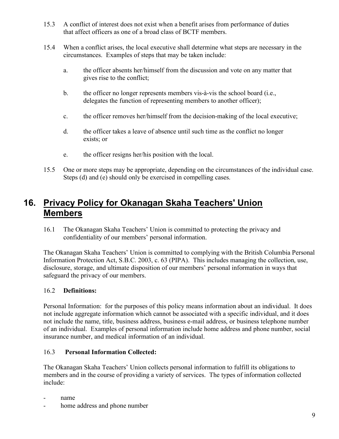- 15.3 A conflict of interest does not exist when a benefit arises from performance of duties that affect officers as one of a broad class of BCTF members.
- 15.4 When a conflict arises, the local executive shall determine what steps are necessary in the circumstances. Examples of steps that may be taken include:
	- a. the officer absents her/himself from the discussion and vote on any matter that gives rise to the conflict;
	- b. the officer no longer represents members vis-à-vis the school board (i.e., delegates the function of representing members to another officer);
	- c. the officer removes her/himself from the decision-making of the local executive;
	- d. the officer takes a leave of absence until such time as the conflict no longer exists; or
	- e. the officer resigns her/his position with the local.
- 15.5 One or more steps may be appropriate, depending on the circumstances of the individual case. Steps (d) and (e) should only be exercised in compelling cases.

#### **16. Privacy Policy for Okanagan Skaha Teachers' Union Members**

16.1 The Okanagan Skaha Teachers' Union is committed to protecting the privacy and confidentiality of our members' personal information.

The Okanagan Skaha Teachers' Union is committed to complying with the British Columbia Personal Information Protection Act, S.B.C. 2003, c. 63 (PIPA). This includes managing the collection, use, disclosure, storage, and ultimate disposition of our members' personal information in ways that safeguard the privacy of our members.

#### 16.2 **Definitions:**

Personal Information: for the purposes of this policy means information about an individual. It does not include aggregate information which cannot be associated with a specific individual, and it does not include the name, title, business address, business e-mail address, or business telephone number of an individual. Examples of personal information include home address and phone number, social insurance number, and medical information of an individual.

#### 16.3 **Personal Information Collected:**

The Okanagan Skaha Teachers' Union collects personal information to fulfill its obligations to members and in the course of providing a variety of services. The types of information collected include:

- name
- home address and phone number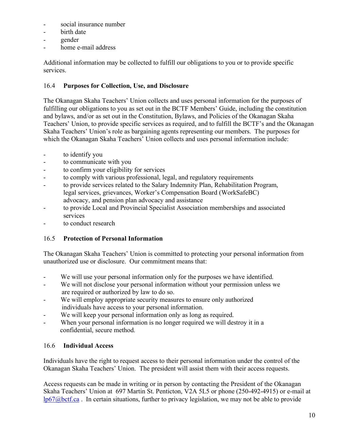- social insurance number
- birth date
- gender
- home e-mail address

Additional information may be collected to fulfill our obligations to you or to provide specific services.

#### 16.4 **Purposes for Collection, Use, and Disclosure**

The Okanagan Skaha Teachers' Union collects and uses personal information for the purposes of fulfilling our obligations to you as set out in the BCTF Members' Guide, including the constitution and bylaws, and/or as set out in the Constitution, Bylaws, and Policies of the Okanagan Skaha Teachers' Union, to provide specific services as required, and to fulfill the BCTF's and the Okanagan Skaha Teachers' Union's role as bargaining agents representing our members. The purposes for which the Okanagan Skaha Teachers' Union collects and uses personal information include:

- to identify you
- to communicate with you
- to confirm your eligibility for services
- to comply with various professional, legal, and regulatory requirements
- to provide services related to the Salary Indemnity Plan, Rehabilitation Program, legal services, grievances, Worker's Compensation Board (WorkSafeBC) advocacy, and pension plan advocacy and assistance
- to provide Local and Provincial Specialist Association memberships and associated services
- to conduct research

#### 16.5 **Protection of Personal Information**

The Okanagan Skaha Teachers' Union is committed to protecting your personal information from unauthorized use or disclosure. Our commitment means that:

- We will use your personal information only for the purposes we have identified.
- We will not disclose your personal information without your permission unless we are required or authorized by law to do so.
- We will employ appropriate security measures to ensure only authorized individuals have access to your personal information.
- We will keep your personal information only as long as required.
- When your personal information is no longer required we will destroy it in a confidential, secure method.

#### 16.6 **Individual Access**

Individuals have the right to request access to their personal information under the control of the Okanagan Skaha Teachers' Union. The president will assist them with their access requests.

Access requests can be made in writing or in person by contacting the President of the Okanagan Skaha Teachers' Union at 697 Martin St. Penticton, V2A 5L5 or phone (250-492-4915) or e-mail at [lp67@bctf.ca](mailto:lp67@bctf.ca) . In certain situations, further to privacy legislation, we may not be able to provide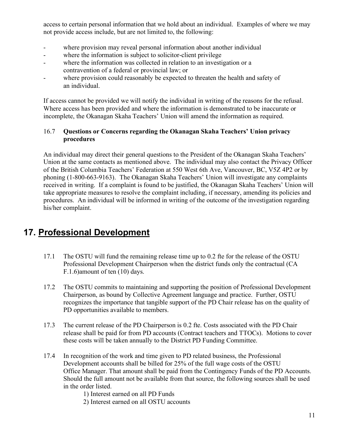access to certain personal information that we hold about an individual. Examples of where we may not provide access include, but are not limited to, the following:

- where provision may reveal personal information about another individual
- where the information is subject to solicitor-client privilege
- where the information was collected in relation to an investigation or a contravention of a federal or provincial law; or
- where provision could reasonably be expected to threaten the health and safety of an individual.

If access cannot be provided we will notify the individual in writing of the reasons for the refusal. Where access has been provided and where the information is demonstrated to be inaccurate or incomplete, the Okanagan Skaha Teachers' Union will amend the information as required.

#### 16.7**Questions or Concerns regarding the Okanagan Skaha Teachers' Union privacy procedures**

An individual may direct their general questions to the President of the Okanagan Skaha Teachers' Union at the same contacts as mentioned above. The individual may also contact the Privacy Officer of the British Columbia Teachers' Federation at 550 West 6th Ave, Vancouver, BC, V5Z 4P2 or by phoning (1-800-663-9163). The Okanagan Skaha Teachers' Union will investigate any complaints received in writing. If a complaint is found to be justified, the Okanagan Skaha Teachers' Union will take appropriate measures to resolve the complaint including, if necessary, amending its policies and procedures. An individual will be informed in writing of the outcome of the investigation regarding his/her complaint.

#### **17. Professional Development**

- 17.1 The OSTU will fund the remaining release time up to 0.2 fte for the release of the OSTU Professional Development Chairperson when the district funds only the contractual (CA F.1.6)amount of ten (10) days.
- 17.2 The OSTU commits to maintaining and supporting the position of Professional Development Chairperson, as bound by Collective Agreement language and practice. Further, OSTU recognizes the importance that tangible support of the PD Chair release has on the quality of PD opportunities available to members.
- 17.3 The current release of the PD Chairperson is 0.2 fte. Costs associated with the PD Chair release shall be paid for from PD accounts (Contract teachers and TTOCs). Motions to cover these costs will be taken annually to the District PD Funding Committee.
- 17.4 In recognition of the work and time given to PD related business, the Professional Development accounts shall be billed for 25% of the full wage costs of the OSTU Office Manager. That amount shall be paid from the Contingency Funds of the PD Accounts. Should the full amount not be available from that source, the following sources shall be used in the order listed.

1) Interest earned on all PD Funds

2) Interest earned on all OSTU accounts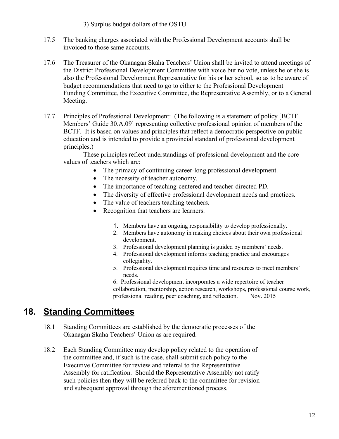3) Surplus budget dollars of the OSTU

- 17.5 The banking charges associated with the Professional Development accounts shall be invoiced to those same accounts.
- 17.6 The Treasurer of the Okanagan Skaha Teachers' Union shall be invited to attend meetings of the District Professional Development Committee with voice but no vote, unless he or she is also the Professional Development Representative for his or her school, so as to be aware of budget recommendations that need to go to either to the Professional Development Funding Committee, the Executive Committee, the Representative Assembly, or to a General Meeting.
- 17.7 Principles of Professional Development: (The following is a statement of policy [BCTF Members' Guide 30.A.09] representing collective professional opinion of members of the BCTF. It is based on values and principles that reflect a democratic perspective on public education and is intended to provide a provincial standard of professional development principles.)

 These principles reflect understandings of professional development and the core values of teachers which are:

- The primacy of continuing career-long professional development.
- The necessity of teacher autonomy.
- The importance of teaching-centered and teacher-directed PD.
- The diversity of effective professional development needs and practices.
- The value of teachers teaching teachers.
- Recognition that teachers are learners.
	- 1. Members have an ongoing responsibility to develop professionally.
	- 2. Members have autonomy in making choices about their own professional development.
	- 3. Professional development planning is guided by members' needs.
	- 4. Professional development informs teaching practice and encourages collegiality.
	- 5. Professional development requires time and resources to meet members' needs.

6. Professional development incorporates a wide repertoire of teacher collaboration, mentorship, action research, workshops, professional course work, professional reading, peer coaching, and reflection. Nov. 2015

#### **18. Standing Committees**

- 18.1 Standing Committees are established by the democratic processes of the Okanagan Skaha Teachers' Union as are required.
- 18.2 Each Standing Committee may develop policy related to the operation of the committee and, if such is the case, shall submit such policy to the Executive Committee for review and referral to the Representative Assembly for ratification. Should the Representative Assembly not ratify such policies then they will be referred back to the committee for revision and subsequent approval through the aforementioned process.